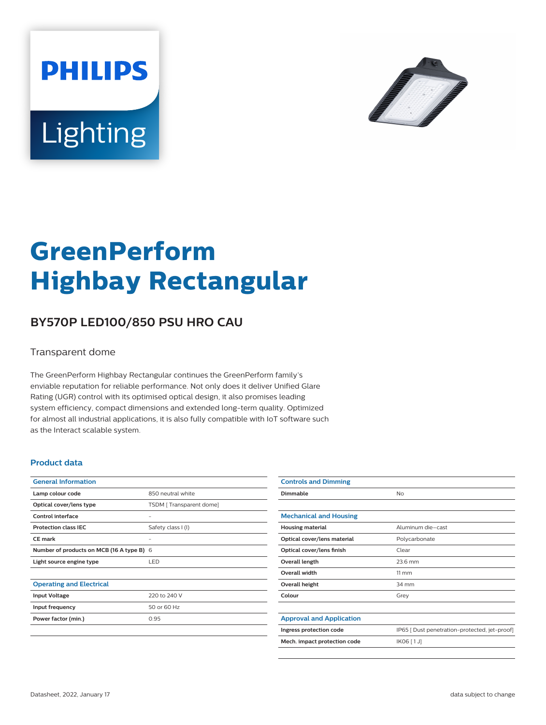



# **GreenPerform Highbay Rectangular**

## **BY570P LED100/850 PSU HRO CAU**

#### Transparent dome

The GreenPerform Highbay Rectangular continues the GreenPerform family's enviable reputation for reliable performance. Not only does it deliver Unified Glare Rating (UGR) control with its optimised optical design, it also promises leading system efficiency, compact dimensions and extended long-term quality. Optimized for almost all industrial applications, it is also fully compatible with IoT software such as the Interact scalable system.

#### **Product data**

| <b>General Information</b>                |                         |
|-------------------------------------------|-------------------------|
| Lamp colour code                          | 850 neutral white       |
| Optical cover/lens type                   | TSDM [Transparent dome] |
| Control interface                         |                         |
| <b>Protection class IEC</b>               | Safety class I (I)      |
| <b>CE</b> mark                            |                         |
| Number of products on MCB (16 A type B) 6 |                         |
| Light source engine type                  | LED                     |
|                                           |                         |
| <b>Operating and Electrical</b>           |                         |
| <b>Input Voltage</b>                      | 220 to 240 V            |
| Input frequency                           | 50 or 60 Hz             |
| Power factor (min.)                       | 0.95                    |
|                                           |                         |

| <b>Controls and Dimming</b>     |                                               |
|---------------------------------|-----------------------------------------------|
| Dimmable                        | <b>No</b>                                     |
|                                 |                                               |
| <b>Mechanical and Housing</b>   |                                               |
| <b>Housing material</b>         | Aluminum die-cast                             |
| Optical cover/lens material     | Polycarbonate                                 |
| Optical cover/lens finish       | Clear                                         |
| Overall length                  | 23.6 mm                                       |
| <b>Overall width</b>            | $11 \, \mathrm{mm}$                           |
| Overall height                  | 34 mm                                         |
| Colour                          | Grey                                          |
|                                 |                                               |
| <b>Approval and Application</b> |                                               |
| Ingress protection code         | IP65 [ Dust penetration-protected, jet-proof] |
| Mech. impact protection code    | IK06 [1J]                                     |
|                                 |                                               |